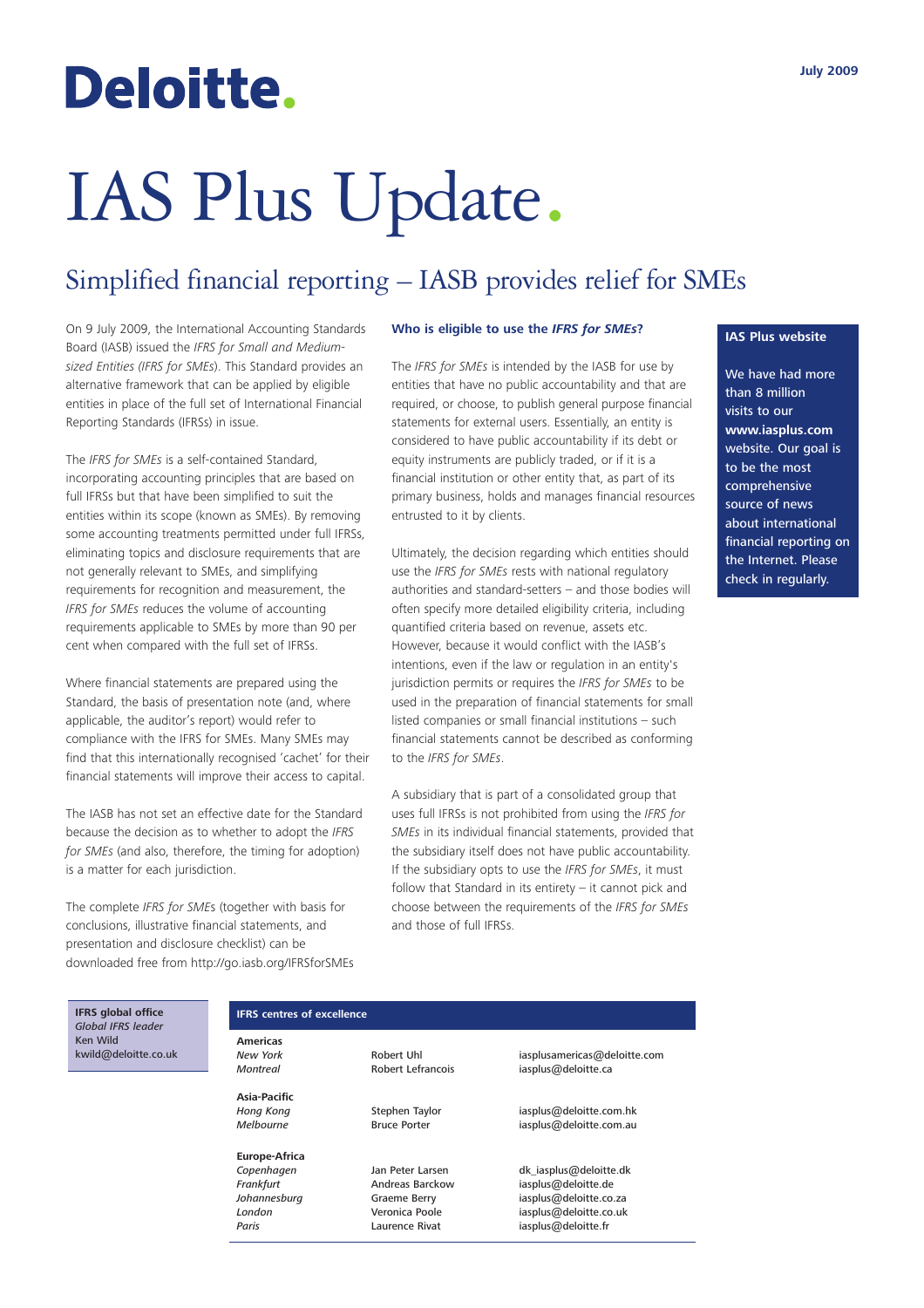## Deloitte.

# IAS Plus Update.

### Simplified financial reporting – IASB provides relief for SMEs

On 9 July 2009, the International Accounting Standards Board (IASB) issued the *IFRS for Small and Mediumsized Entities (IFRS for SMEs*). This Standard provides an alternative framework that can be applied by eligible entities in place of the full set of International Financial Reporting Standards (IFRSs) in issue.

The *IFRS for SMEs* is a self-contained Standard, incorporating accounting principles that are based on full IFRSs but that have been simplified to suit the entities within its scope (known as SMEs). By removing some accounting treatments permitted under full IFRSs, eliminating topics and disclosure requirements that are not generally relevant to SMEs, and simplifying requirements for recognition and measurement, the *IFRS for SMEs* reduces the volume of accounting requirements applicable to SMEs by more than 90 per cent when compared with the full set of IFRSs.

Where financial statements are prepared using the Standard, the basis of presentation note (and, where applicable, the auditor's report) would refer to compliance with the IFRS for SMEs. Many SMEs may find that this internationally recognised 'cachet' for their financial statements will improve their access to capital.

The IASB has not set an effective date for the Standard because the decision as to whether to adopt the *IFRS for SMEs* (and also, therefore, the timing for adoption) is a matter for each jurisdiction.

The complete *IFRS for SME*s (together with basis for conclusions, illustrative financial statements, and presentation and disclosure checklist) can be downloaded free from http://go.iasb.org/IFRSforSMEs

#### **Who is eligible to use the** *IFRS for SMEs***?**

The *IFRS for SMEs* is intended by the IASB for use by entities that have no public accountability and that are required, or choose, to publish general purpose financial statements for external users. Essentially, an entity is considered to have public accountability if its debt or equity instruments are publicly traded, or if it is a financial institution or other entity that, as part of its primary business, holds and manages financial resources entrusted to it by clients.

Ultimately, the decision regarding which entities should use the *IFRS for SMEs* rests with national regulatory authorities and standard-setters – and those bodies will often specify more detailed eligibility criteria, including quantified criteria based on revenue, assets etc. However, because it would conflict with the IASB's intentions, even if the law or regulation in an entity's jurisdiction permits or requires the *IFRS for SMEs* to be used in the preparation of financial statements for small listed companies or small financial institutions – such financial statements cannot be described as conforming to the *IFRS for SMEs*.

A subsidiary that is part of a consolidated group that uses full IFRSs is not prohibited from using the *IFRS for SMEs* in its individual financial statements, provided that the subsidiary itself does not have public accountability. If the subsidiary opts to use the *IFRS for SMEs*, it must follow that Standard in its entirety – it cannot pick and choose between the requirements of the *IFRS for SMEs* and those of full IFRSs.

#### **IAS Plus website**

We have had more than 8 million visits to our **www.iasplus.com** website. Our goal is to be the most comprehensive source of news about international financial reporting on the Internet. Please check in regularly.

**IFRS global office** *Global IFRS leader* Ken Wild kwild@deloitte.co.uk

#### **IFRS centres of excellence**

**Americas**

**Asia-Pacific**

**Europe-Africa**

Paris **Paris** Laurence Rivat iasplus@deloitte.fr

*New York* Robert Uhl iasplusamericas@deloitte.com iasplus@deloitte.ca

*Hong Kong* Stephen Taylor iasplus@deloitte.com.hk *Melbourne* Bruce Porter iasplus@deloitte.com.au

*Copenhagen* Jan Peter Larsen dk\_iasplus@deloitte.dk **Frankfurt Andreas Barckow** iasplus@deloitte.de *Iohannesburg* **Community Community Community** *Crankfurt Community Crankfurth Community Crankfurth Community Crankfurth Community Crankfurth Community Crankfurth* **Johannesburg Graeme Berry Fragget Library State and Library State Communist Communist Communist Communist Communist Communist Communist Communist Communist Communist Communist Communist Communist Communist Communist Commu** iasplus@deloitte.co.uk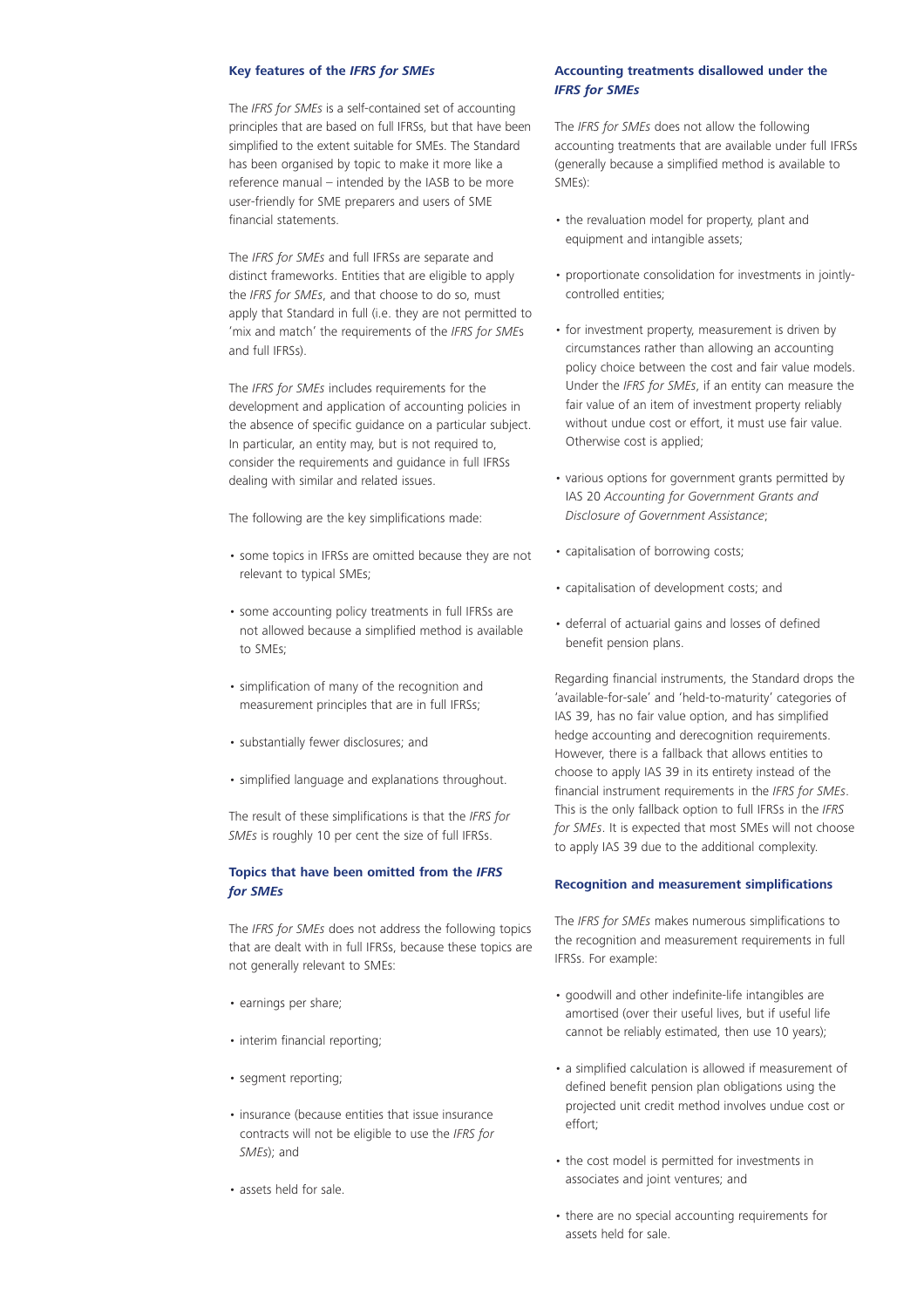#### **Key features of the** *IFRS for SMEs*

The *IFRS for SMEs* is a self-contained set of accounting principles that are based on full IFRSs, but that have been simplified to the extent suitable for SMEs. The Standard has been organised by topic to make it more like a reference manual – intended by the IASB to be more user-friendly for SME preparers and users of SME financial statements.

The *IFRS for SMEs* and full IFRSs are separate and distinct frameworks. Entities that are eligible to apply the *IFRS for SMEs*, and that choose to do so, must apply that Standard in full (i.e. they are not permitted to 'mix and match' the requirements of the *IFRS for SME*s and full IFRSs).

The *IFRS for SMEs* includes requirements for the development and application of accounting policies in the absence of specific guidance on a particular subject. In particular, an entity may, but is not required to, consider the requirements and guidance in full IFRSs dealing with similar and related issues.

The following are the key simplifications made:

- some topics in IFRSs are omitted because they are not relevant to typical SMEs;
- some accounting policy treatments in full IFRSs are not allowed because a simplified method is available to SMEs;
- simplification of many of the recognition and measurement principles that are in full IFRSs;
- substantially fewer disclosures; and
- simplified language and explanations throughout.

The result of these simplifications is that the *IFRS for SMEs* is roughly 10 per cent the size of full IFRSs.

#### **Topics that have been omitted from the** *IFRS for SMEs*

The *IFRS for SMEs* does not address the following topics that are dealt with in full IFRSs, because these topics are not generally relevant to SMEs:

- earnings per share;
- interim financial reporting;
- segment reporting;
- insurance (because entities that issue insurance contracts will not be eligible to use the *IFRS for SMEs*); and
- assets held for sale.

#### **Accounting treatments disallowed under the** *IFRS for SMEs*

The *IFRS for SMEs* does not allow the following accounting treatments that are available under full IFRSs (generally because a simplified method is available to SMEs):

- the revaluation model for property, plant and equipment and intangible assets;
- proportionate consolidation for investments in jointlycontrolled entities;
- for investment property, measurement is driven by circumstances rather than allowing an accounting policy choice between the cost and fair value models. Under the *IFRS for SMEs*, if an entity can measure the fair value of an item of investment property reliably without undue cost or effort, it must use fair value. Otherwise cost is applied;
- various options for government grants permitted by IAS 20 *Accounting for Government Grants and Disclosure of Government Assistance*;
- capitalisation of borrowing costs;
- capitalisation of development costs; and
- deferral of actuarial gains and losses of defined benefit pension plans.

Regarding financial instruments, the Standard drops the 'available-for-sale' and 'held-to-maturity' categories of IAS 39, has no fair value option, and has simplified hedge accounting and derecognition requirements. However, there is a fallback that allows entities to choose to apply IAS 39 in its entirety instead of the financial instrument requirements in the *IFRS for SMEs*. This is the only fallback option to full IFRSs in the *IFRS for SMEs*. It is expected that most SMEs will not choose to apply IAS 39 due to the additional complexity.

#### **Recognition and measurement simplifications**

The *IFRS for SMEs* makes numerous simplifications to the recognition and measurement requirements in full IFRSs. For example:

- goodwill and other indefinite-life intangibles are amortised (over their useful lives, but if useful life cannot be reliably estimated, then use 10 years);
- a simplified calculation is allowed if measurement of defined benefit pension plan obligations using the projected unit credit method involves undue cost or effort;
- the cost model is permitted for investments in associates and joint ventures; and
- there are no special accounting requirements for assets held for sale.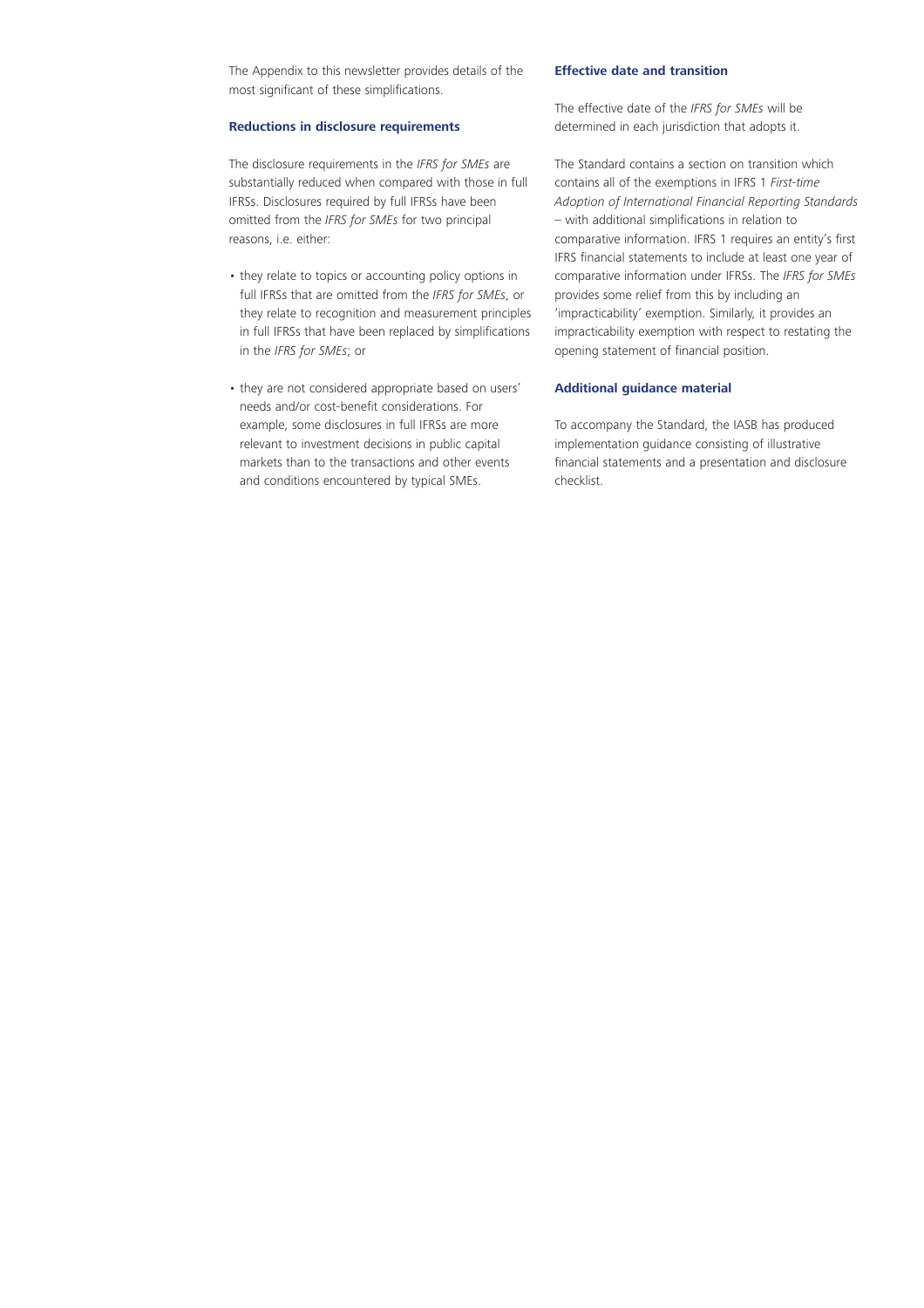The Appendix to this newsletter provides details of the most significant of these simplifications.

#### **Reductions in disclosure requirements**

The disclosure requirements in the *IFRS for SMEs* are substantially reduced when compared with those in full IFRSs. Disclosures required by full IFRSs have been omitted from the *IFRS for SMEs* for two principal reasons, i.e. either:

- they relate to topics or accounting policy options in full IFRSs that are omitted from the *IFRS for SMEs*, or they relate to recognition and measurement principles in full IFRSs that have been replaced by simplifications in the *IFRS for SMEs*; or
- they are not considered appropriate based on users' needs and/or cost-benefit considerations. For example, some disclosures in full IFRSs are more relevant to investment decisions in public capital markets than to the transactions and other events and conditions encountered by typical SMEs.

#### **Effective date and transition**

The effective date of the *IFRS for SMEs* will be determined in each jurisdiction that adopts it.

The Standard contains a section on transition which contains all of the exemptions in IFRS 1 *First-time Adoption of International Financial Reporting Standards* – with additional simplifications in relation to comparative information. IFRS 1 requires an entity's first IFRS financial statements to include at least one year of comparative information under IFRSs. The *IFRS for SMEs* provides some relief from this by including an 'impracticability' exemption. Similarly, it provides an impracticability exemption with respect to restating the opening statement of financial position.

#### **Additional guidance material**

To accompany the Standard, the IASB has produced implementation guidance consisting of illustrative financial statements and a presentation and disclosure checklist.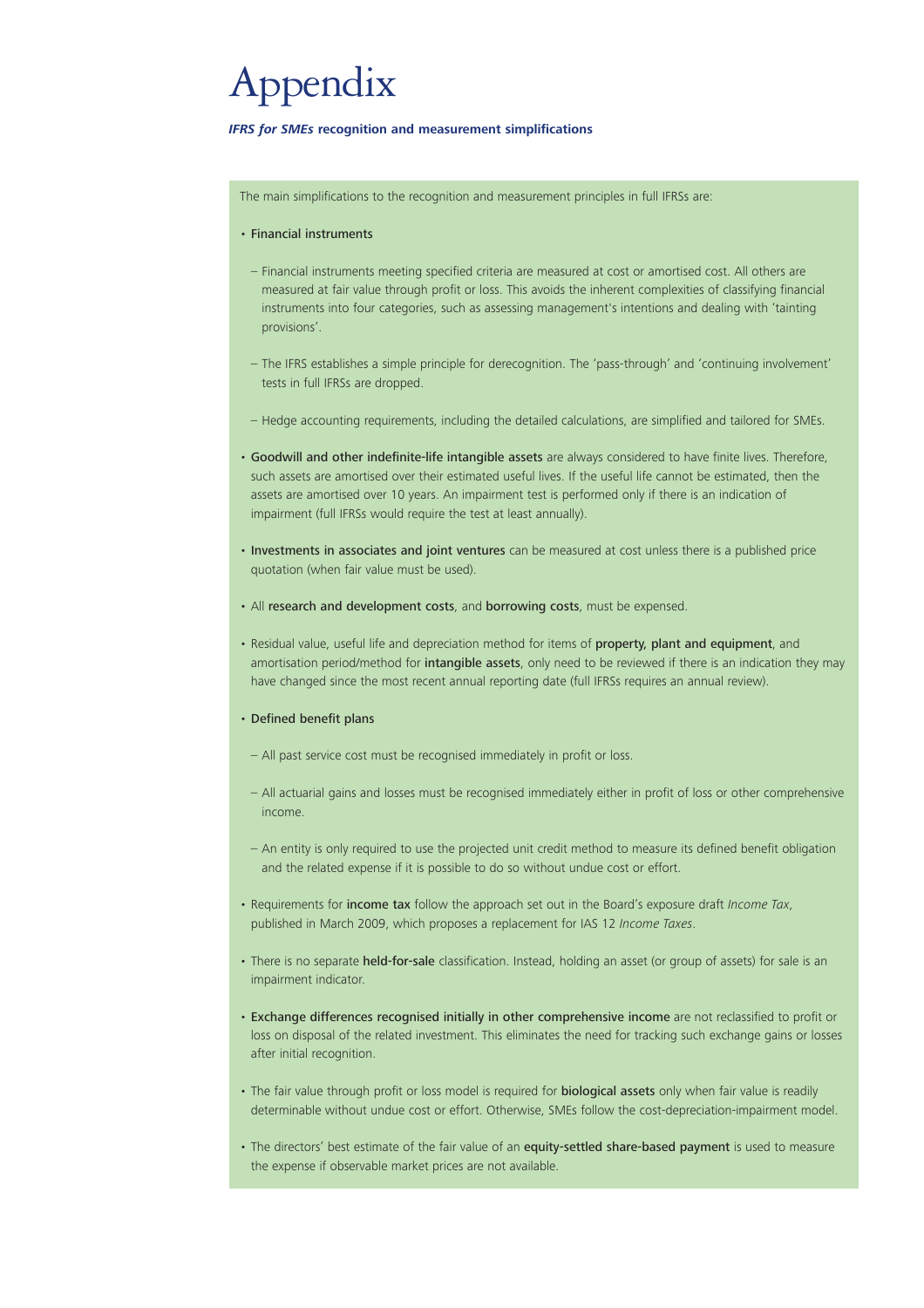## Appendix

#### *IFRS for SMEs* **recognition and measurement simplifications**

The main simplifications to the recognition and measurement principles in full IFRSs are:

#### • Financial instruments

- Financial instruments meeting specified criteria are measured at cost or amortised cost. All others are measured at fair value through profit or loss. This avoids the inherent complexities of classifying financial instruments into four categories, such as assessing management's intentions and dealing with 'tainting provisions'.
- The IFRS establishes a simple principle for derecognition. The 'pass-through' and 'continuing involvement' tests in full IFRSs are dropped.
- Hedge accounting requirements, including the detailed calculations, are simplified and tailored for SMEs.
- Goodwill and other indefinite-life intangible assets are always considered to have finite lives. Therefore, such assets are amortised over their estimated useful lives. If the useful life cannot be estimated, then the assets are amortised over 10 years. An impairment test is performed only if there is an indication of impairment (full IFRSs would require the test at least annually).
- Investments in associates and joint ventures can be measured at cost unless there is a published price quotation (when fair value must be used).
- All research and development costs, and borrowing costs, must be expensed.
- Residual value, useful life and depreciation method for items of property, plant and equipment, and amortisation period/method for intangible assets, only need to be reviewed if there is an indication they may have changed since the most recent annual reporting date (full IFRSs requires an annual review).

#### • Defined benefit plans

- All past service cost must be recognised immediately in profit or loss.
- All actuarial gains and losses must be recognised immediately either in profit of loss or other comprehensive income.
- An entity is only required to use the projected unit credit method to measure its defined benefit obligation and the related expense if it is possible to do so without undue cost or effort.
- Requirements for income tax follow the approach set out in the Board's exposure draft *Income Tax*, published in March 2009, which proposes a replacement for IAS 12 *Income Taxes*.
- There is no separate held-for-sale classification. Instead, holding an asset (or group of assets) for sale is an impairment indicator.
- Exchange differences recognised initially in other comprehensive income are not reclassified to profit or loss on disposal of the related investment. This eliminates the need for tracking such exchange gains or losses after initial recognition.
- The fair value through profit or loss model is required for **biological assets** only when fair value is readily determinable without undue cost or effort. Otherwise, SMEs follow the cost-depreciation-impairment model.
- The directors' best estimate of the fair value of an equity-settled share-based payment is used to measure the expense if observable market prices are not available.